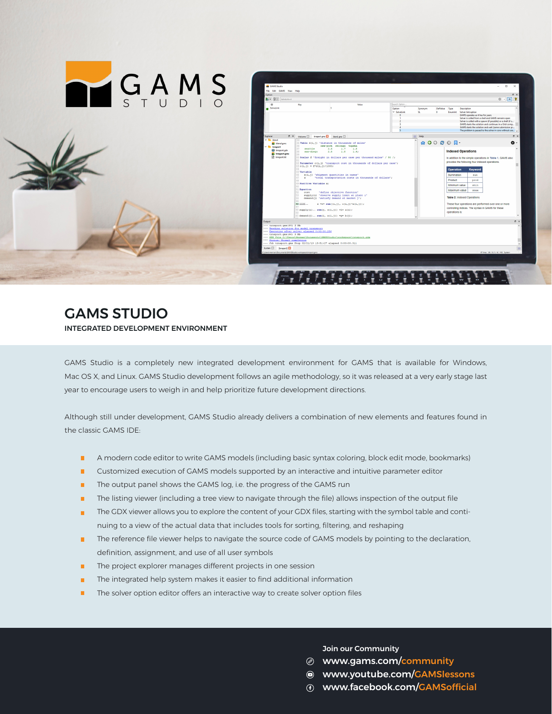

## GAMS STUDIO INTEGRATED DEVELOPMENT ENVIRONMENT

GAMS Studio is a completely new integrated development environment for GAMS that is available for Windows, Mac OS X, and Linux. GAMS Studio development follows an agile methodology, so it was released at a very early stage last year to encourage users to weigh in and help prioritize future development directions.

Although still under development, GAMS Studio already delivers a combination of new elements and features found in the classic GAMS IDE:

- **A modern code editor to write GAMS models (including basic syntax coloring, block edit mode, bookmarks)**
- **Customized execution of GAMS models supported by an interactive and intuitive parameter editor**
- **The output panel shows the GAMS log, i.e. the progress of the GAMS run**
- **•** The listing viewer (including a tree view to navigate through the file) allows inspection of the output file
- The GDX viewer allows you to explore the content of your GDX files, starting with the symbol table and continuing to a view of the actual data that includes tools for sorting, filtering, and reshaping
- **The reference file viewer helps to navigate the source code of GAMS models by pointing to the declaration,** definition, assignment, and use of all user symbols
- **The project explorer manages different projects in one session**
- **The integrated help system makes it easier to find additional information**
- **The solver option editor offers an interactive way to create solver option files**

Join our Community

- www.gams.com/community
- www.youtube.com/GAMSlessons
- www.facebook.com/GAMSofficial